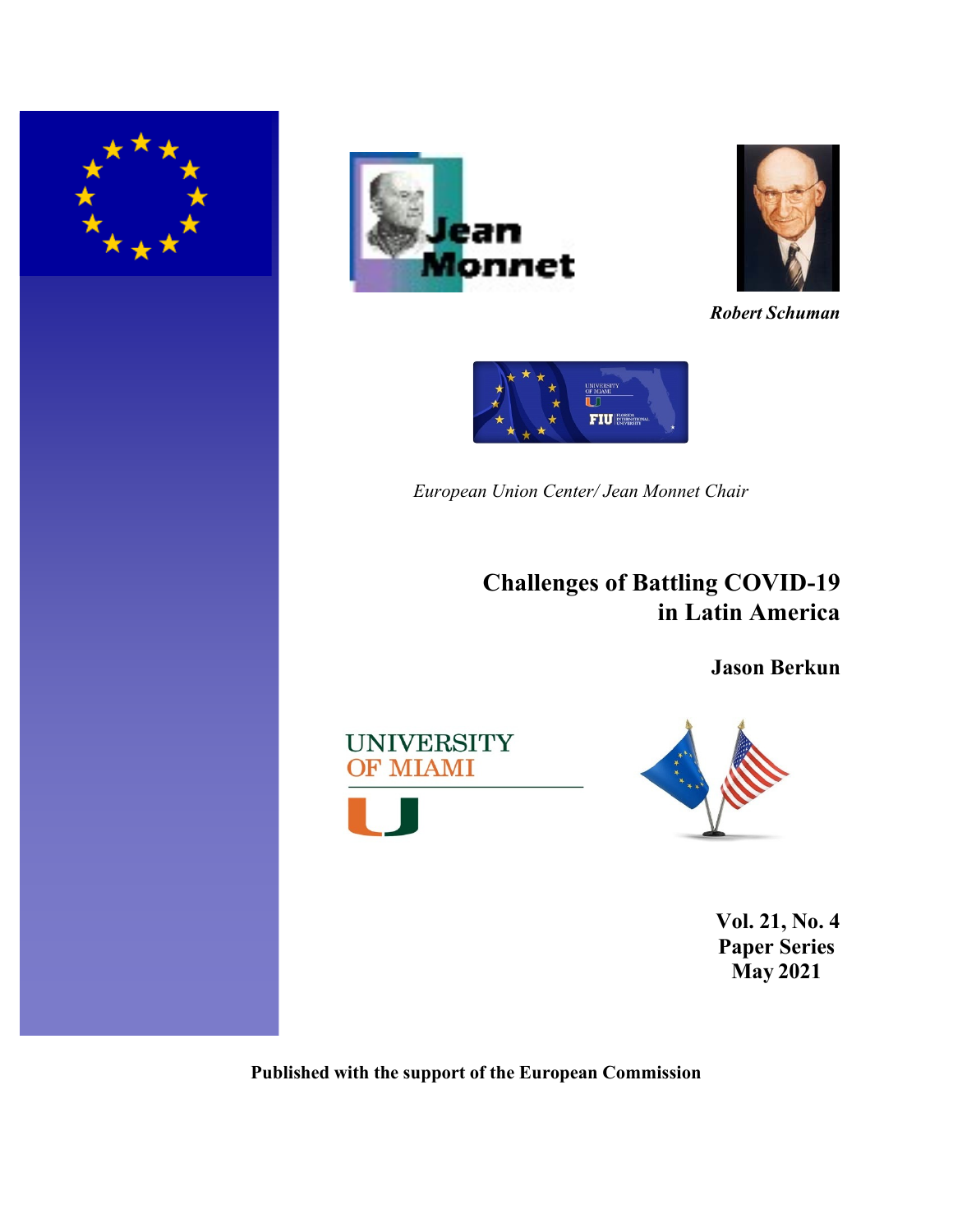





*Robert Schuman*



*European Union Center/ Jean Monnet Chair*

**Challenges of Battling COVID-19 in Latin America**

**Jason Berkun**





**Vol. 21, No. 4 Paper Series May 2021**

**Published with the support of the European Commission**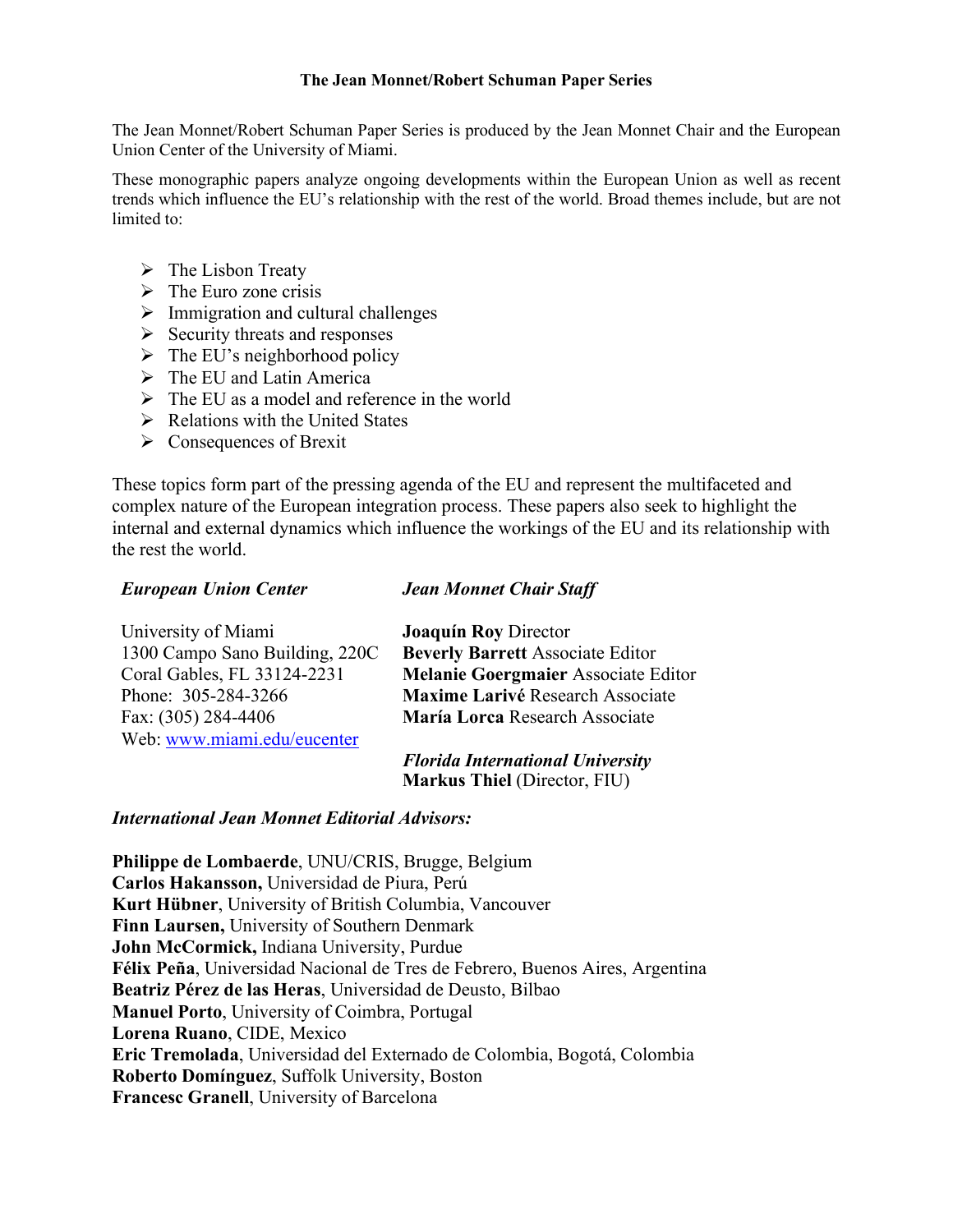## **The Jean Monnet/Robert Schuman Paper Series**

The Jean Monnet/Robert Schuman Paper Series is produced by the Jean Monnet Chair and the European Union Center of the University of Miami.

These monographic papers analyze ongoing developments within the European Union as well as recent trends which influence the EU's relationship with the rest of the world. Broad themes include, but are not limited to:

- $\triangleright$  The Lisbon Treaty
- $\triangleright$  The Euro zone crisis
- $\triangleright$  Immigration and cultural challenges
- $\triangleright$  Security threats and responses
- $\triangleright$  The EU's neighborhood policy
- $\triangleright$  The EU and Latin America
- $\triangleright$  The EU as a model and reference in the world
- $\triangleright$  Relations with the United States
- $\triangleright$  Consequences of Brexit

These topics form part of the pressing agenda of the EU and represent the multifaceted and complex nature of the European integration process. These papers also seek to highlight the internal and external dynamics which influence the workings of the EU and its relationship with the rest the world.

# *European Union Center*

## *Jean Monnet Chair Staff*

| University of Miami            | <b>Joaquín Roy Director</b>                |
|--------------------------------|--------------------------------------------|
| 1300 Campo Sano Building, 220C | <b>Beverly Barrett Associate Editor</b>    |
| Coral Gables, FL 33124-2231    | <b>Melanie Goergmaier Associate Editor</b> |
| Phone: 305-284-3266            | Maxime Larivé Research Associate           |
| Fax: (305) 284-4406            | María Lorca Research Associate             |
| Web: www.miami.edu/eucenter    |                                            |

*Florida International University* **Markus Thiel** (Director, FIU)

# *International Jean Monnet Editorial Advisors:*

**Philippe de Lombaerde**, UNU/CRIS, Brugge, Belgium **Carlos Hakansson,** Universidad de Piura, Perú **Kurt Hübner**, University of British Columbia, Vancouver **Finn Laursen,** University of Southern Denmark **John McCormick,** Indiana University, Purdue **Félix Peña**, Universidad Nacional de Tres de Febrero, Buenos Aires, Argentina **Beatriz Pérez de las Heras**, Universidad de Deusto, Bilbao **Manuel Porto**, University of Coimbra, Portugal **Lorena Ruano**, CIDE, Mexico **Eric Tremolada**, Universidad del Externado de Colombia, Bogotá, Colombia **Roberto Domínguez**, Suffolk University, Boston **Francesc Granell**, University of Barcelona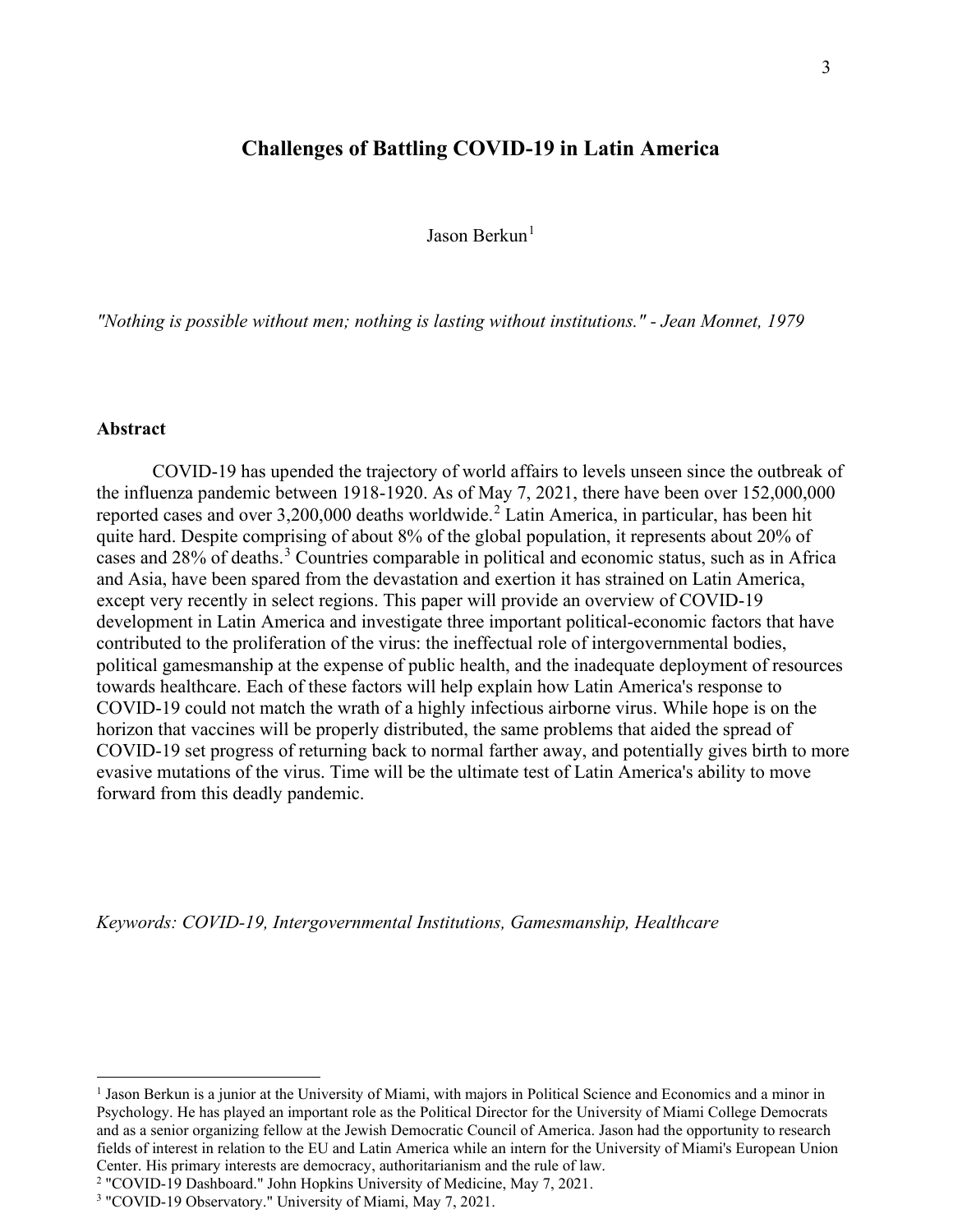# **Challenges of Battling COVID-19 in Latin America**

Jason Berkun[1](#page-2-0)

*"Nothing is possible without men; nothing is lasting without institutions." - Jean Monnet, 1979*

#### **Abstract**

COVID-19 has upended the trajectory of world affairs to levels unseen since the outbreak of the influenza pandemic between 1918-1920. As of May 7, 2021, there have been over 152,000,000 reported cases and over 3,[2](#page-2-1)00,000 deaths worldwide.<sup>2</sup> Latin America, in particular, has been hit quite hard. Despite comprising of about 8% of the global population, it represents about 20% of cases and 28% of deaths.[3](#page-2-2) Countries comparable in political and economic status, such as in Africa and Asia, have been spared from the devastation and exertion it has strained on Latin America, except very recently in select regions. This paper will provide an overview of COVID-19 development in Latin America and investigate three important political-economic factors that have contributed to the proliferation of the virus: the ineffectual role of intergovernmental bodies, political gamesmanship at the expense of public health, and the inadequate deployment of resources towards healthcare. Each of these factors will help explain how Latin America's response to COVID-19 could not match the wrath of a highly infectious airborne virus. While hope is on the horizon that vaccines will be properly distributed, the same problems that aided the spread of COVID-19 set progress of returning back to normal farther away, and potentially gives birth to more evasive mutations of the virus. Time will be the ultimate test of Latin America's ability to move forward from this deadly pandemic.

*Keywords: COVID-19, Intergovernmental Institutions, Gamesmanship, Healthcare*

<span id="page-2-0"></span><sup>1</sup> Jason Berkun is a junior at the University of Miami, with majors in Political Science and Economics and a minor in Psychology. He has played an important role as the Political Director for the University of Miami College Democrats and as a senior organizing fellow at the Jewish Democratic Council of America. Jason had the opportunity to research fields of interest in relation to the EU and Latin America while an intern for the University of Miami's European Union Center. His primary interests are democracy, authoritarianism and the rule of law.

<span id="page-2-1"></span><sup>&</sup>lt;sup>2</sup> "COVID-19 Dashboard." John Hopkins University of Medicine, May 7, 2021.<br><sup>3</sup> "COVID-19 Observatory." University of Miami, May 7, 2021.

<span id="page-2-2"></span>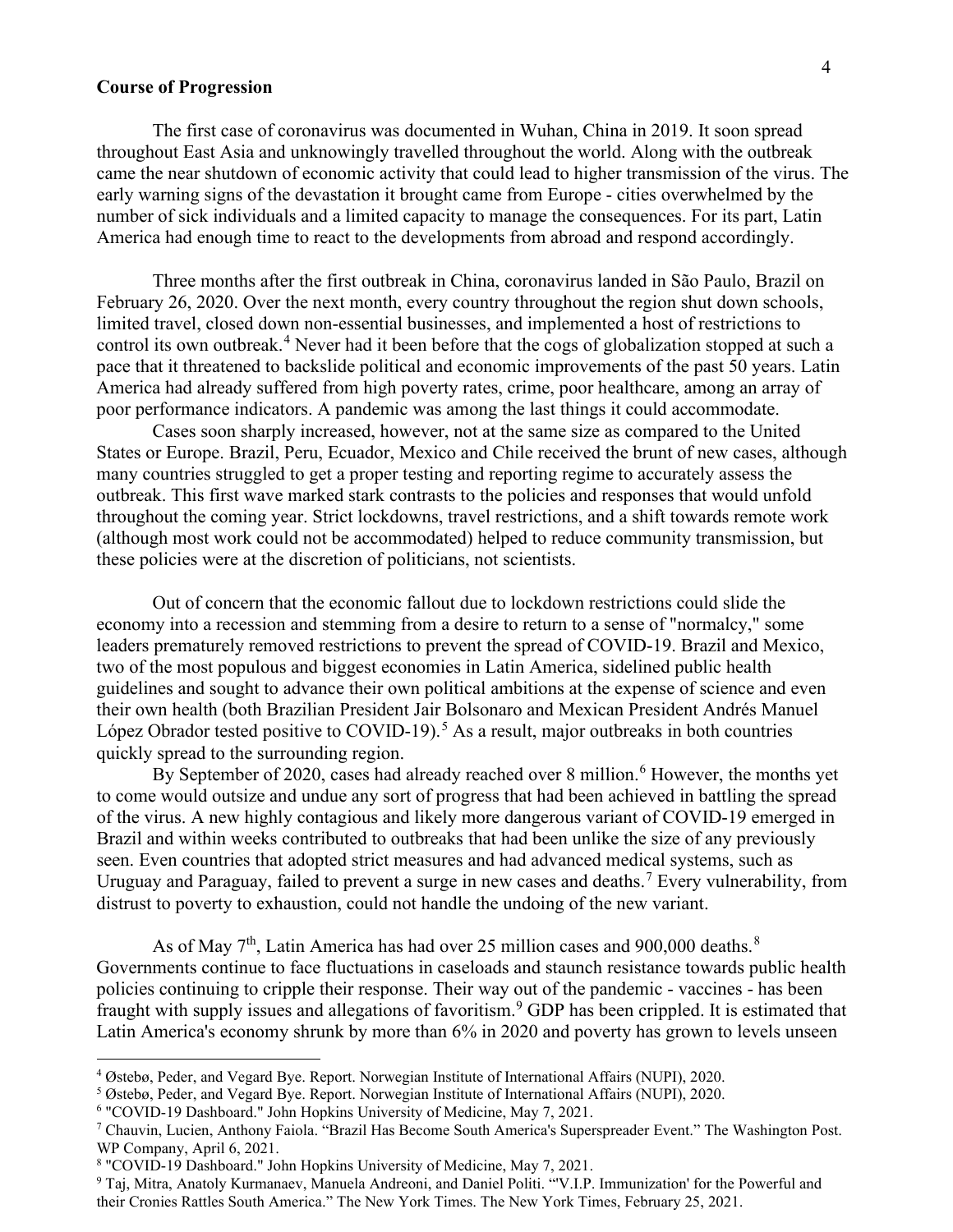#### **Course of Progression**

The first case of coronavirus was documented in Wuhan, China in 2019. It soon spread throughout East Asia and unknowingly travelled throughout the world. Along with the outbreak came the near shutdown of economic activity that could lead to higher transmission of the virus. The early warning signs of the devastation it brought came from Europe - cities overwhelmed by the number of sick individuals and a limited capacity to manage the consequences. For its part, Latin America had enough time to react to the developments from abroad and respond accordingly.

Three months after the first outbreak in China, coronavirus landed in São Paulo, Brazil on February 26, 2020. Over the next month, every country throughout the region shut down schools, limited travel, closed down non-essential businesses, and implemented a host of restrictions to control its own outbreak.<sup>[4](#page-3-0)</sup> Never had it been before that the cogs of globalization stopped at such a pace that it threatened to backslide political and economic improvements of the past 50 years. Latin America had already suffered from high poverty rates, crime, poor healthcare, among an array of poor performance indicators. A pandemic was among the last things it could accommodate.

Cases soon sharply increased, however, not at the same size as compared to the United States or Europe. Brazil, Peru, Ecuador, Mexico and Chile received the brunt of new cases, although many countries struggled to get a proper testing and reporting regime to accurately assess the outbreak. This first wave marked stark contrasts to the policies and responses that would unfold throughout the coming year. Strict lockdowns, travel restrictions, and a shift towards remote work (although most work could not be accommodated) helped to reduce community transmission, but these policies were at the discretion of politicians, not scientists.

Out of concern that the economic fallout due to lockdown restrictions could slide the economy into a recession and stemming from a desire to return to a sense of "normalcy," some leaders prematurely removed restrictions to prevent the spread of COVID-19. Brazil and Mexico, two of the most populous and biggest economies in Latin America, sidelined public health guidelines and sought to advance their own political ambitions at the expense of science and even their own health (both Brazilian President Jair Bolsonaro and Mexican President Andrés Manuel López Obrador tested positive to COVID-19).<sup>[5](#page-3-1)</sup> As a result, major outbreaks in both countries quickly spread to the surrounding region.

By September of 2020, cases had already reached over 8 million.<sup>[6](#page-3-2)</sup> However, the months yet to come would outsize and undue any sort of progress that had been achieved in battling the spread of the virus. A new highly contagious and likely more dangerous variant of COVID-19 emerged in Brazil and within weeks contributed to outbreaks that had been unlike the size of any previously seen. Even countries that adopted strict measures and had advanced medical systems, such as Uruguay and Paraguay, failed to prevent a surge in new cases and deaths.<sup>[7](#page-3-3)</sup> Every vulnerability, from distrust to poverty to exhaustion, could not handle the undoing of the new variant.

As of May  $7<sup>th</sup>$ , Latin America has had over 25 million cases and 900,000 deaths.<sup>[8](#page-3-4)</sup> Governments continue to face fluctuations in caseloads and staunch resistance towards public health policies continuing to cripple their response. Their way out of the pandemic - vaccines - has been fraught with supply issues and allegations of favoritism. [9](#page-3-5) GDP has been crippled. It is estimated that Latin America's economy shrunk by more than 6% in 2020 and poverty has grown to levels unseen

<span id="page-3-0"></span><sup>4</sup> Østebø, Peder, and Vegard Bye. Report. Norwegian Institute of International Affairs (NUPI), 2020.

<span id="page-3-1"></span><sup>&</sup>lt;sup>5</sup> Østebø, Peder, and Vegard Bye. Report. Norwegian Institute of International Affairs (NUPI), 2020.<br><sup>6</sup> "COVID-19 Dashboard." John Hopkins University of Medicine, May 7, 2021.

<span id="page-3-2"></span>

<span id="page-3-3"></span><sup>&</sup>lt;sup>7</sup> Chauvin, Lucien, Anthony Faiola. "Brazil Has Become South America's Superspreader Event." The Washington Post. WP Company, April 6, 2021.<br><sup>8</sup> "COVID-19 Dashboard." John Hopkins University of Medicine, May 7, 2021.

<span id="page-3-5"></span><span id="page-3-4"></span><sup>&</sup>lt;sup>9</sup> Taj, Mitra, Anatoly Kurmanaev, Manuela Andreoni, and Daniel Politi. "'V.I.P. Immunization' for the Powerful and their Cronies Rattles South America." The New York Times. The New York Times, February 25, 2021.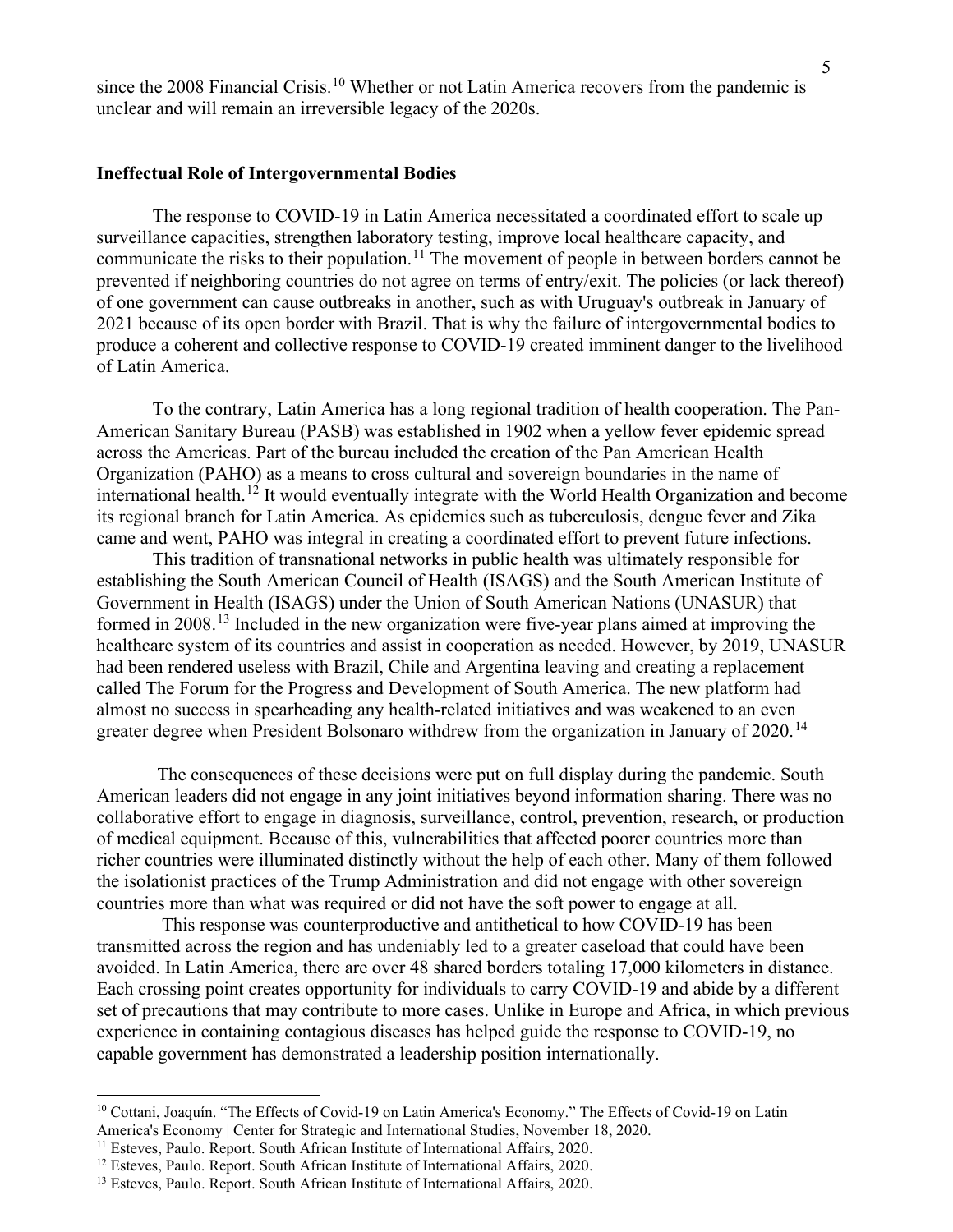since the 2008 Financial Crisis.<sup>[10](#page-4-0)</sup> Whether or not Latin America recovers from the pandemic is unclear and will remain an irreversible legacy of the 2020s.

#### **Ineffectual Role of Intergovernmental Bodies**

The response to COVID-19 in Latin America necessitated a coordinated effort to scale up surveillance capacities, strengthen laboratory testing, improve local healthcare capacity, and communicate the risks to their population.<sup>[11](#page-4-1)</sup> The movement of people in between borders cannot be prevented if neighboring countries do not agree on terms of entry/exit. The policies (or lack thereof) of one government can cause outbreaks in another, such as with Uruguay's outbreak in January of 2021 because of its open border with Brazil. That is why the failure of intergovernmental bodies to produce a coherent and collective response to COVID-19 created imminent danger to the livelihood of Latin America.

To the contrary, Latin America has a long regional tradition of health cooperation. The Pan-American Sanitary Bureau (PASB) was established in 1902 when a yellow fever epidemic spread across the Americas. Part of the bureau included the creation of the Pan American Health Organization (PAHO) as a means to cross cultural and sovereign boundaries in the name of international health.<sup>[12](#page-4-2)</sup> It would eventually integrate with the World Health Organization and become its regional branch for Latin America. As epidemics such as tuberculosis, dengue fever and Zika came and went, PAHO was integral in creating a coordinated effort to prevent future infections.

This tradition of transnational networks in public health was ultimately responsible for establishing the South American Council of Health (ISAGS) and the South American Institute of Government in Health (ISAGS) under the Union of South American Nations (UNASUR) that formed in 2008.<sup>[13](#page-4-3)</sup> Included in the new organization were five-year plans aimed at improving the healthcare system of its countries and assist in cooperation as needed. However, by 2019, UNASUR had been rendered useless with Brazil, Chile and Argentina leaving and creating a replacement called The Forum for the Progress and Development of South America. The new platform had almost no success in spearheading any health-related initiatives and was weakened to an even greater degree when President Bolsonaro withdrew from the organization in January of 2020.<sup>[14](#page-4-4)</sup>

The consequences of these decisions were put on full display during the pandemic. South American leaders did not engage in any joint initiatives beyond information sharing. There was no collaborative effort to engage in diagnosis, surveillance, control, prevention, research, or production of medical equipment. Because of this, vulnerabilities that affected poorer countries more than richer countries were illuminated distinctly without the help of each other. Many of them followed the isolationist practices of the Trump Administration and did not engage with other sovereign countries more than what was required or did not have the soft power to engage at all.

 This response was counterproductive and antithetical to how COVID-19 has been transmitted across the region and has undeniably led to a greater caseload that could have been avoided. In Latin America, there are over 48 shared borders totaling 17,000 kilometers in distance. Each crossing point creates opportunity for individuals to carry COVID-19 and abide by a different set of precautions that may contribute to more cases. Unlike in Europe and Africa, in which previous experience in containing contagious diseases has helped guide the response to COVID-19, no capable government has demonstrated a leadership position internationally.

<span id="page-4-0"></span><sup>10</sup> Cottani, Joaquín. "The Effects of Covid-19 on Latin America's Economy." The Effects of Covid-19 on Latin America's Economy | Center for Strategic and International Studies, November 18, 2020.

<span id="page-4-1"></span><sup>&</sup>lt;sup>11</sup> Esteves, Paulo. Report. South African Institute of International Affairs, 2020.

<span id="page-4-2"></span><sup>&</sup>lt;sup>12</sup> Esteves, Paulo. Report. South African Institute of International Affairs, 2020.

<span id="page-4-4"></span><span id="page-4-3"></span><sup>&</sup>lt;sup>13</sup> Esteves, Paulo. Report. South African Institute of International Affairs, 2020.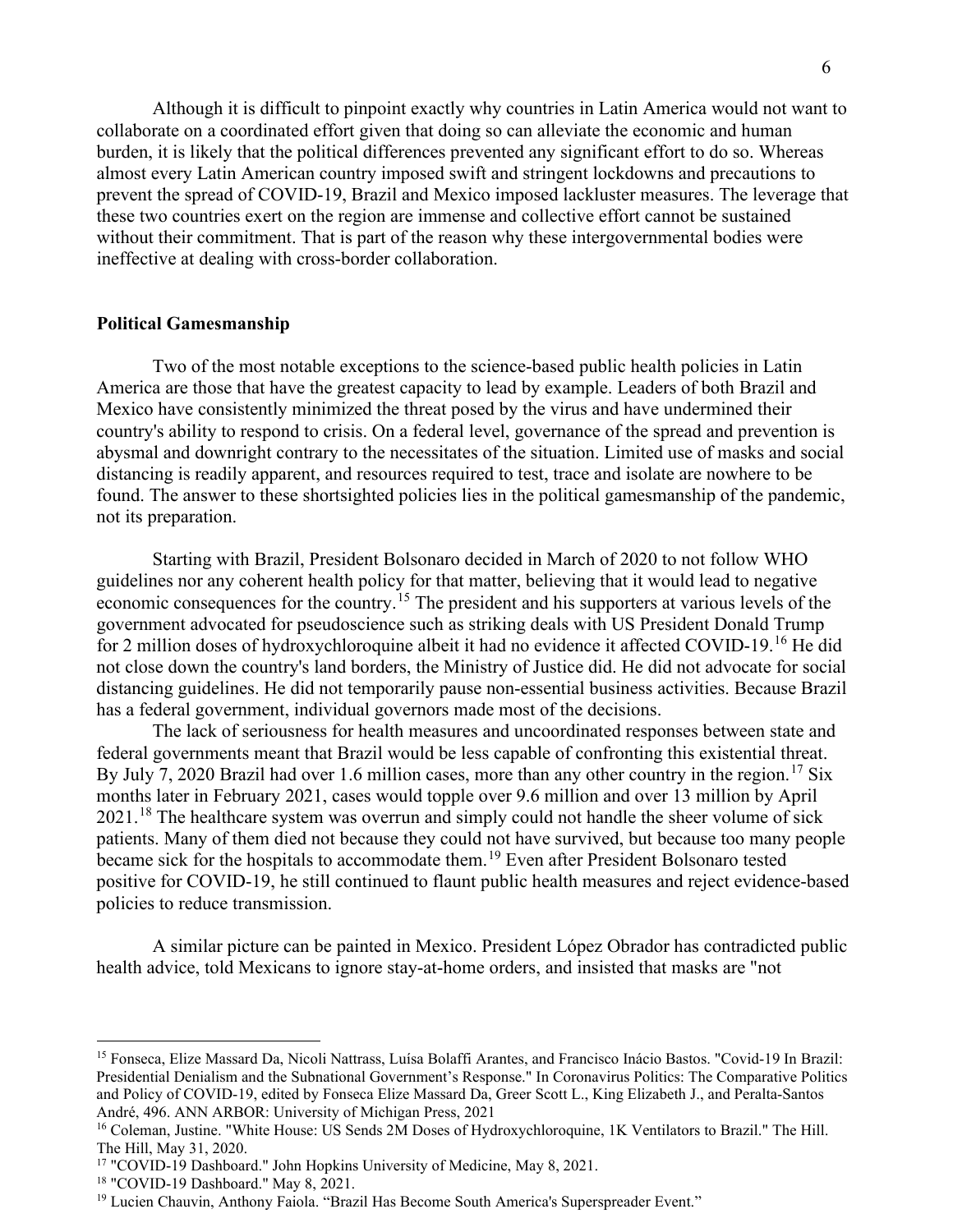Although it is difficult to pinpoint exactly why countries in Latin America would not want to collaborate on a coordinated effort given that doing so can alleviate the economic and human burden, it is likely that the political differences prevented any significant effort to do so. Whereas almost every Latin American country imposed swift and stringent lockdowns and precautions to prevent the spread of COVID-19, Brazil and Mexico imposed lackluster measures. The leverage that these two countries exert on the region are immense and collective effort cannot be sustained without their commitment. That is part of the reason why these intergovernmental bodies were ineffective at dealing with cross-border collaboration.

## **Political Gamesmanship**

Two of the most notable exceptions to the science-based public health policies in Latin America are those that have the greatest capacity to lead by example. Leaders of both Brazil and Mexico have consistently minimized the threat posed by the virus and have undermined their country's ability to respond to crisis. On a federal level, governance of the spread and prevention is abysmal and downright contrary to the necessitates of the situation. Limited use of masks and social distancing is readily apparent, and resources required to test, trace and isolate are nowhere to be found. The answer to these shortsighted policies lies in the political gamesmanship of the pandemic, not its preparation.

Starting with Brazil, President Bolsonaro decided in March of 2020 to not follow WHO guidelines nor any coherent health policy for that matter, believing that it would lead to negative economic consequences for the country.<sup>[15](#page-5-0)</sup> The president and his supporters at various levels of the government advocated for pseudoscience such as striking deals with US President Donald Trump for 2 million doses of hydroxychloroquine albeit it had no evidence it affected COVID-19.[16](#page-5-1) He did not close down the country's land borders, the Ministry of Justice did. He did not advocate for social distancing guidelines. He did not temporarily pause non-essential business activities. Because Brazil has a federal government, individual governors made most of the decisions.

The lack of seriousness for health measures and uncoordinated responses between state and federal governments meant that Brazil would be less capable of confronting this existential threat. By July 7, 2020 Brazil had over 1.6 million cases, more than any other country in the region.<sup>[17](#page-5-2)</sup> Six months later in February 2021, cases would topple over 9.6 million and over 13 million by April 2021.<sup>[18](#page-5-3)</sup> The healthcare system was overrun and simply could not handle the sheer volume of sick patients. Many of them died not because they could not have survived, but because too many people became sick for the hospitals to accommodate them.<sup>[19](#page-5-4)</sup> Even after President Bolsonaro tested positive for COVID-19, he still continued to flaunt public health measures and reject evidence-based policies to reduce transmission.

A similar picture can be painted in Mexico. President López Obrador has contradicted public health advice, told Mexicans to ignore stay-at-home orders, and insisted that masks are "not

<span id="page-5-0"></span><sup>15</sup> Fonseca, Elize Massard Da, Nicoli Nattrass, Luísa Bolaffi Arantes, and Francisco Inácio Bastos. "Covid-19 In Brazil: Presidential Denialism and the Subnational Government's Response." In Coronavirus Politics: The Comparative Politics and Policy of COVID-19, edited by Fonseca Elize Massard Da, Greer Scott L., King Elizabeth J., and Peralta-Santos André, 496. ANN ARBOR: University of Michigan Press, 2021

<span id="page-5-1"></span><sup>&</sup>lt;sup>16</sup> Coleman, Justine. "White House: US Sends 2M Doses of Hydroxychloroquine, 1K Ventilators to Brazil." The Hill. The Hill, May 31, 2020.

<span id="page-5-2"></span><sup>&</sup>lt;sup>17</sup> "COVID-19 Dashboard." John Hopkins University of Medicine, May 8, 2021.

<span id="page-5-4"></span><span id="page-5-3"></span><sup>&</sup>lt;sup>18</sup> "COVID-19 Dashboard." May 8, 2021.<br><sup>19</sup> Lucien Chauvin, Anthony Faiola. "Brazil Has Become South America's Superspreader Event."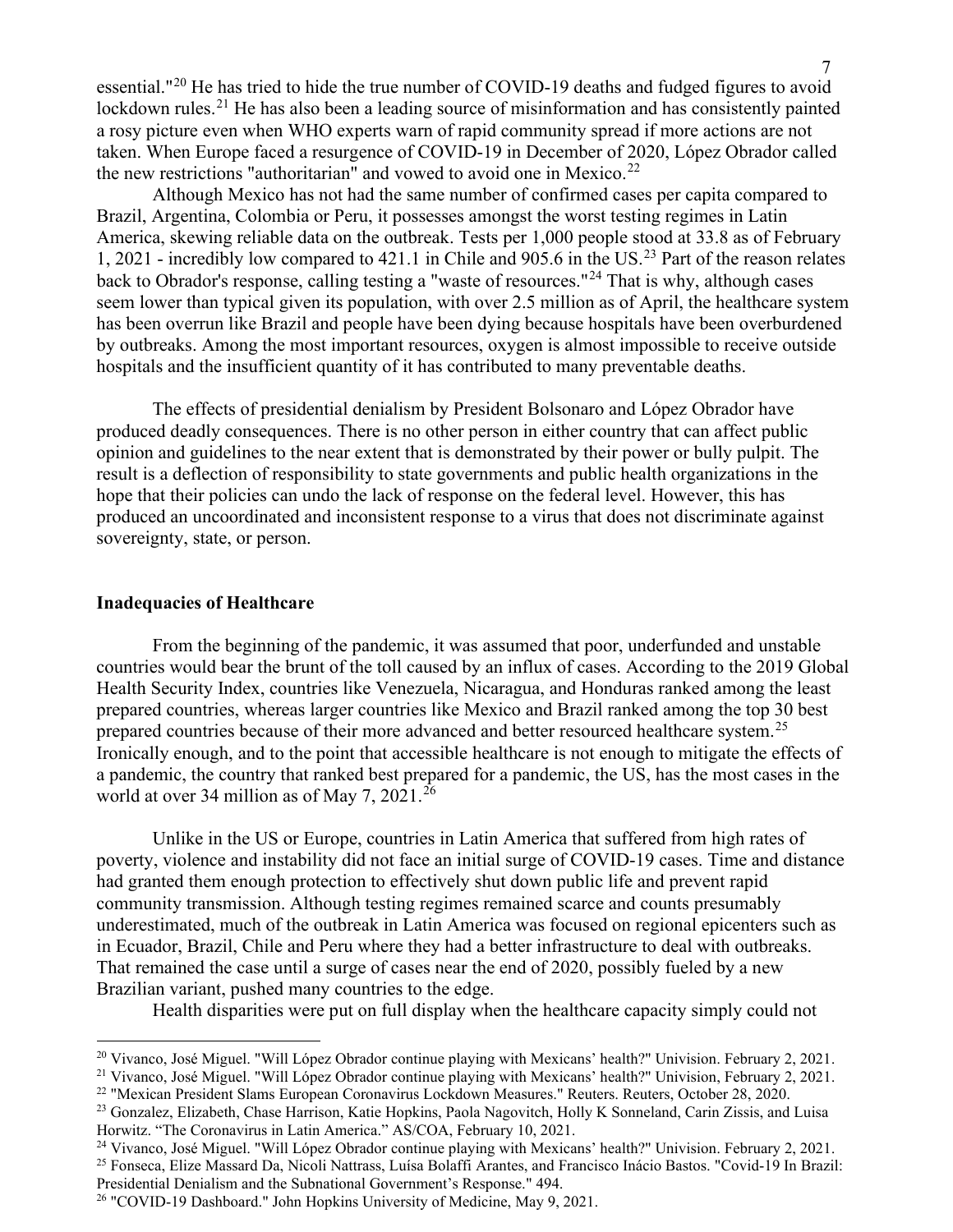essential."[20](#page-6-0) He has tried to hide the true number of COVID-19 deaths and fudged figures to avoid lockdown rules.<sup>[21](#page-6-1)</sup> He has also been a leading source of misinformation and has consistently painted a rosy picture even when WHO experts warn of rapid community spread if more actions are not taken. When Europe faced a resurgence of COVID-19 in December of 2020, López Obrador called the new restrictions "authoritarian" and vowed to avoid one in Mexico.<sup>[22](#page-6-2)</sup>

Although Mexico has not had the same number of confirmed cases per capita compared to Brazil, Argentina, Colombia or Peru, it possesses amongst the worst testing regimes in Latin America, skewing reliable data on the outbreak. Tests per 1,000 people stood at 33.8 as of February 1, 2021 - incredibly low compared to 421.1 in Chile and 905.6 in the US.[23](#page-6-3) Part of the reason relates back to Obrador's response, calling testing a "waste of resources."[24](#page-6-4) That is why, although cases seem lower than typical given its population, with over 2.5 million as of April, the healthcare system has been overrun like Brazil and people have been dying because hospitals have been overburdened by outbreaks. Among the most important resources, oxygen is almost impossible to receive outside hospitals and the insufficient quantity of it has contributed to many preventable deaths.

The effects of presidential denialism by President Bolsonaro and López Obrador have produced deadly consequences. There is no other person in either country that can affect public opinion and guidelines to the near extent that is demonstrated by their power or bully pulpit. The result is a deflection of responsibility to state governments and public health organizations in the hope that their policies can undo the lack of response on the federal level. However, this has produced an uncoordinated and inconsistent response to a virus that does not discriminate against sovereignty, state, or person.

#### **Inadequacies of Healthcare**

From the beginning of the pandemic, it was assumed that poor, underfunded and unstable countries would bear the brunt of the toll caused by an influx of cases. According to the 2019 Global Health Security Index, countries like Venezuela, Nicaragua, and Honduras ranked among the least prepared countries, whereas larger countries like Mexico and Brazil ranked among the top 30 best prepared countries because of their more advanced and better resourced healthcare system.<sup>[25](#page-6-5)</sup> Ironically enough, and to the point that accessible healthcare is not enough to mitigate the effects of a pandemic, the country that ranked best prepared for a pandemic, the US, has the most cases in the world at over 34 million as of May 7, 2021.<sup>[26](#page-6-6)</sup>

Unlike in the US or Europe, countries in Latin America that suffered from high rates of poverty, violence and instability did not face an initial surge of COVID-19 cases. Time and distance had granted them enough protection to effectively shut down public life and prevent rapid community transmission. Although testing regimes remained scarce and counts presumably underestimated, much of the outbreak in Latin America was focused on regional epicenters such as in Ecuador, Brazil, Chile and Peru where they had a better infrastructure to deal with outbreaks. That remained the case until a surge of cases near the end of 2020, possibly fueled by a new Brazilian variant, pushed many countries to the edge.

Health disparities were put on full display when the healthcare capacity simply could not

- <span id="page-6-3"></span><span id="page-6-2"></span><sup>23</sup> Gonzalez, Elizabeth, Chase Harrison, Katie Hopkins, Paola Nagovitch, Holly K Sonneland, Carin Zissis, and Luisa Horwitz. "The Coronavirus in Latin America." AS/COA, February 10, 2021.
- <span id="page-6-6"></span><span id="page-6-5"></span><span id="page-6-4"></span><sup>24</sup> Vivanco, José Miguel. "Will López Obrador continue playing with Mexicans' health?" Univision. February 2, 2021.<br><sup>25</sup> Fonseca. Elize Massard Da. Nicoli Nattrass. Luísa Bolaffi Arantes. and Francisco Inácio Bastos. "Cov Presidential Denialism and the Subnational Government's Response." 494.

<span id="page-6-0"></span><sup>&</sup>lt;sup>20</sup> Vivanco, José Miguel. "Will López Obrador continue playing with Mexicans' health?" Univision. February 2, 2021.

<span id="page-6-1"></span><sup>&</sup>lt;sup>21</sup> Vivanco, José Miguel. "Will López Obrador continue playing with Mexicans' health?" Univision, February 2, 2021.<br><sup>22</sup> "Mexican President Slams European Coronavirus Lockdown Measures." Reuters. Reuters, October 28, 2020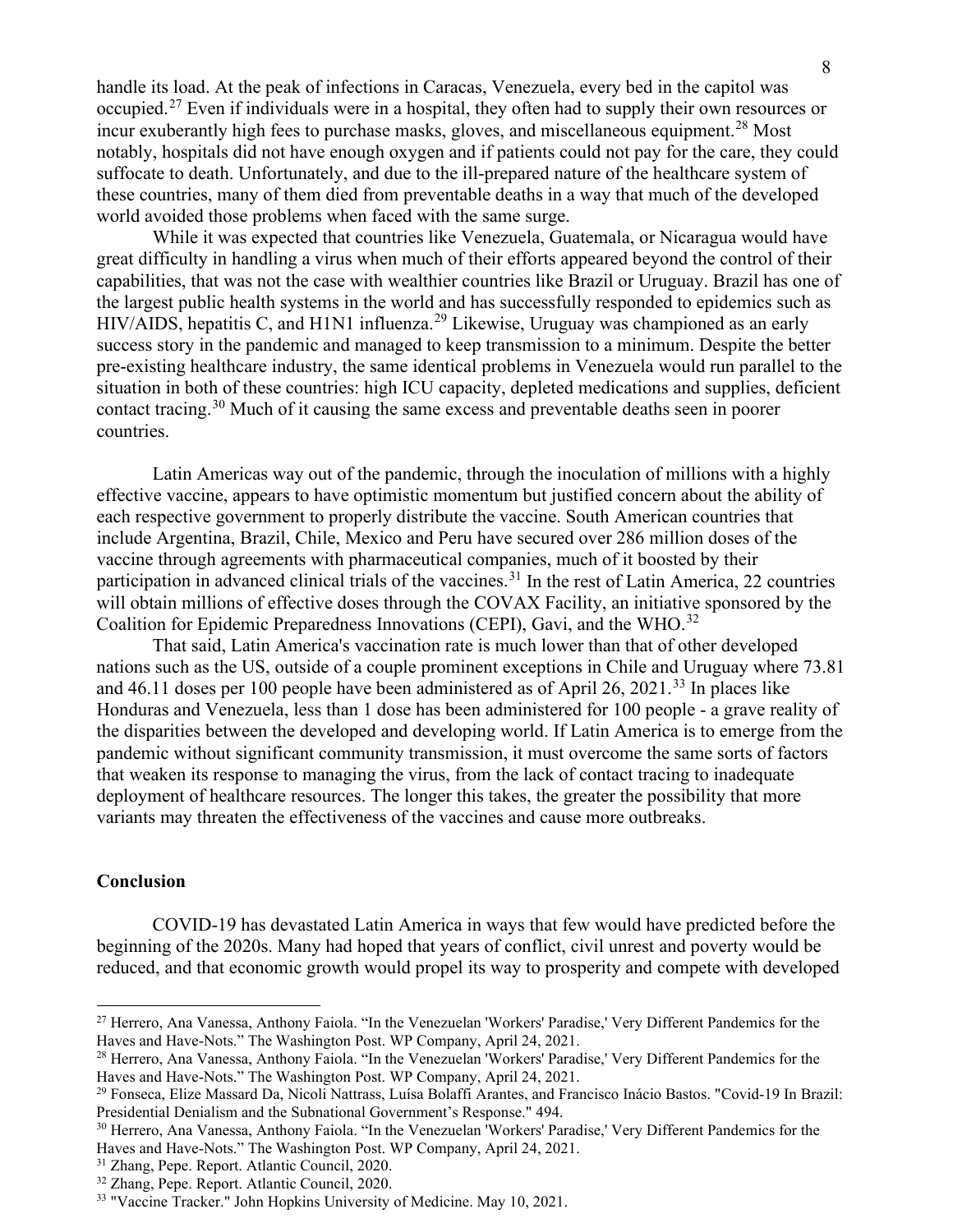handle its load. At the peak of infections in Caracas, Venezuela, every bed in the capitol was occupied.[27](#page-7-0) Even if individuals were in a hospital, they often had to supply their own resources or incur exuberantly high fees to purchase masks, gloves, and miscellaneous equipment.<sup>[28](#page-7-1)</sup> Most notably, hospitals did not have enough oxygen and if patients could not pay for the care, they could suffocate to death. Unfortunately, and due to the ill-prepared nature of the healthcare system of these countries, many of them died from preventable deaths in a way that much of the developed world avoided those problems when faced with the same surge.

While it was expected that countries like Venezuela, Guatemala, or Nicaragua would have great difficulty in handling a virus when much of their efforts appeared beyond the control of their capabilities, that was not the case with wealthier countries like Brazil or Uruguay. Brazil has one of the largest public health systems in the world and has successfully responded to epidemics such as HIV/AIDS, hepatitis C, and H1N1 influenza.<sup>[29](#page-7-2)</sup> Likewise, Uruguay was championed as an early success story in the pandemic and managed to keep transmission to a minimum. Despite the better pre-existing healthcare industry, the same identical problems in Venezuela would run parallel to the situation in both of these countries: high ICU capacity, depleted medications and supplies, deficient contact tracing.[30](#page-7-3) Much of it causing the same excess and preventable deaths seen in poorer countries.

Latin Americas way out of the pandemic, through the inoculation of millions with a highly effective vaccine, appears to have optimistic momentum but justified concern about the ability of each respective government to properly distribute the vaccine. South American countries that include Argentina, Brazil, Chile, Mexico and Peru have secured over 286 million doses of the vaccine through agreements with pharmaceutical companies, much of it boosted by their participation in advanced clinical trials of the vaccines.<sup>[31](#page-7-4)</sup> In the rest of Latin America, 22 countries will obtain millions of effective doses through the COVAX Facility, an initiative sponsored by the Coalition for Epidemic Preparedness Innovations (CEPI), Gavi, and the WHO.<sup>[32](#page-7-5)</sup>

That said, Latin America's vaccination rate is much lower than that of other developed nations such as the US, outside of a couple prominent exceptions in Chile and Uruguay where 73.81 and  $46.11$  doses per 100 people have been administered as of April 26, 2021.<sup>[33](#page-7-6)</sup> In places like Honduras and Venezuela, less than 1 dose has been administered for 100 people - a grave reality of the disparities between the developed and developing world. If Latin America is to emerge from the pandemic without significant community transmission, it must overcome the same sorts of factors that weaken its response to managing the virus, from the lack of contact tracing to inadequate deployment of healthcare resources. The longer this takes, the greater the possibility that more variants may threaten the effectiveness of the vaccines and cause more outbreaks.

#### **Conclusion**

COVID-19 has devastated Latin America in ways that few would have predicted before the beginning of the 2020s. Many had hoped that years of conflict, civil unrest and poverty would be reduced, and that economic growth would propel its way to prosperity and compete with developed

<span id="page-7-0"></span><sup>27</sup> Herrero, Ana Vanessa, Anthony Faiola. "In the Venezuelan 'Workers' Paradise,' Very Different Pandemics for the Haves and Have-Nots." The Washington Post. WP Company, April 24, 2021.

<span id="page-7-1"></span><sup>28</sup> Herrero, Ana Vanessa, Anthony Faiola. "In the Venezuelan 'Workers' Paradise,' Very Different Pandemics for the Haves and Have-Nots." The Washington Post. WP Company, April 24, 2021.<br><sup>29</sup> Fonseca, Elize Massard Da, Nicoli Nattrass, Luísa Bolaffi Arantes, and Francisco Inácio Bastos. "Covid-19 In Brazil:

<span id="page-7-2"></span>Presidential Denialism and the Subnational Government's Response." 494.

<span id="page-7-3"></span><sup>30</sup> Herrero, Ana Vanessa, Anthony Faiola. "In the Venezuelan 'Workers' Paradise,' Very Different Pandemics for the Haves and Have-Nots." The Washington Post. WP Company, April 24, 2021. 31 Zhang, Pepe. Report. Atlantic Council, 2020.

<span id="page-7-6"></span><span id="page-7-5"></span><span id="page-7-4"></span> $32$  Zhang, Pepe. Report. Atlantic Council, 2020.<br> $33$  "Vaccine Tracker." John Hopkins University of Medicine. May 10, 2021.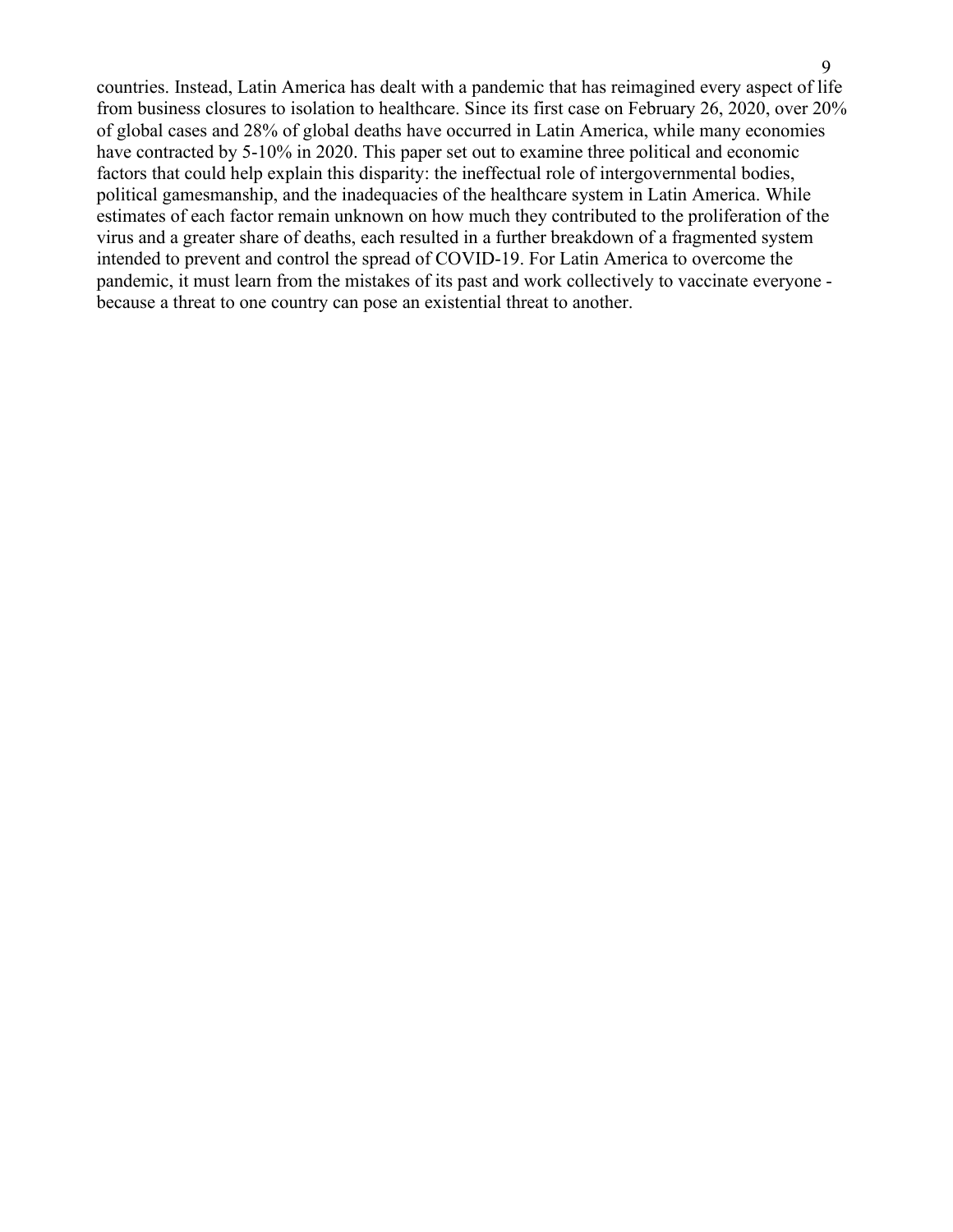countries. Instead, Latin America has dealt with a pandemic that has reimagined every aspect of life from business closures to isolation to healthcare. Since its first case on February 26, 2020, over 20% of global cases and 28% of global deaths have occurred in Latin America, while many economies have contracted by 5-10% in 2020. This paper set out to examine three political and economic factors that could help explain this disparity: the ineffectual role of intergovernmental bodies, political gamesmanship, and the inadequacies of the healthcare system in Latin America. While estimates of each factor remain unknown on how much they contributed to the proliferation of the virus and a greater share of deaths, each resulted in a further breakdown of a fragmented system intended to prevent and control the spread of COVID-19. For Latin America to overcome the pandemic, it must learn from the mistakes of its past and work collectively to vaccinate everyone because a threat to one country can pose an existential threat to another.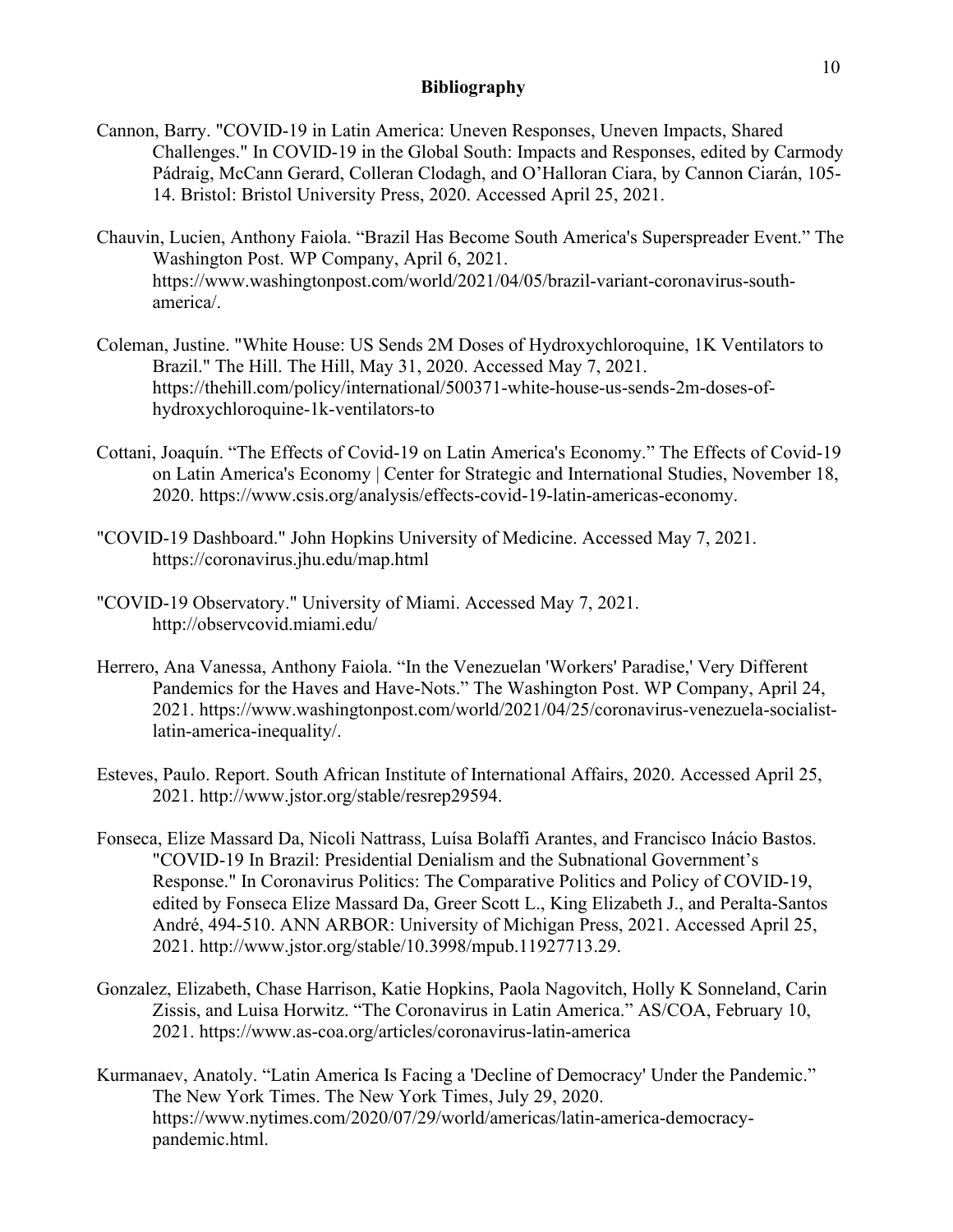## **Bibliography**

- Cannon, Barry. "COVID-19 in Latin America: Uneven Responses, Uneven Impacts, Shared Challenges." In COVID-19 in the Global South: Impacts and Responses, edited by Carmody Pádraig, McCann Gerard, Colleran Clodagh, and O'Halloran Ciara, by Cannon Ciarán, 105- 14. Bristol: Bristol University Press, 2020. Accessed April 25, 2021.
- Chauvin, Lucien, Anthony Faiola. "Brazil Has Become South America's Superspreader Event." The Washington Post. WP Company, April 6, 2021. https://www.washingtonpost.com/world/2021/04/05/brazil-variant-coronavirus-southamerica/.
- Coleman, Justine. "White House: US Sends 2M Doses of Hydroxychloroquine, 1K Ventilators to Brazil." The Hill. The Hill, May 31, 2020. Accessed May 7, 2021. https://thehill.com/policy/international/500371-white-house-us-sends-2m-doses-ofhydroxychloroquine-1k-ventilators-to
- Cottani, Joaquín. "The Effects of Covid-19 on Latin America's Economy." The Effects of Covid-19 on Latin America's Economy | Center for Strategic and International Studies, November 18, 2020. https://www.csis.org/analysis/effects-covid-19-latin-americas-economy.
- "COVID-19 Dashboard." John Hopkins University of Medicine. Accessed May 7, 2021. https://coronavirus.jhu.edu/map.html
- "COVID-19 Observatory." University of Miami. Accessed May 7, 2021. http://observcovid.miami.edu/
- Herrero, Ana Vanessa, Anthony Faiola. "In the Venezuelan 'Workers' Paradise,' Very Different Pandemics for the Haves and Have-Nots." The Washington Post. WP Company, April 24, 2021. https://www.washingtonpost.com/world/2021/04/25/coronavirus-venezuela-socialistlatin-america-inequality/.
- Esteves, Paulo. Report. South African Institute of International Affairs, 2020. Accessed April 25, 2021. http://www.jstor.org/stable/resrep29594.
- Fonseca, Elize Massard Da, Nicoli Nattrass, Luísa Bolaffi Arantes, and Francisco Inácio Bastos. "COVID-19 In Brazil: Presidential Denialism and the Subnational Government's Response." In Coronavirus Politics: The Comparative Politics and Policy of COVID-19, edited by Fonseca Elize Massard Da, Greer Scott L., King Elizabeth J., and Peralta-Santos André, 494-510. ANN ARBOR: University of Michigan Press, 2021. Accessed April 25, 2021. http://www.jstor.org/stable/10.3998/mpub.11927713.29.
- Gonzalez, Elizabeth, Chase Harrison, Katie Hopkins, Paola Nagovitch, Holly K Sonneland, Carin Zissis, and Luisa Horwitz. "The Coronavirus in Latin America." AS/COA, February 10, 2021. https://www.as-coa.org/articles/coronavirus-latin-america
- Kurmanaev, Anatoly. "Latin America Is Facing a 'Decline of Democracy' Under the Pandemic." The New York Times. The New York Times, July 29, 2020. https://www.nytimes.com/2020/07/29/world/americas/latin-america-democracypandemic.html.